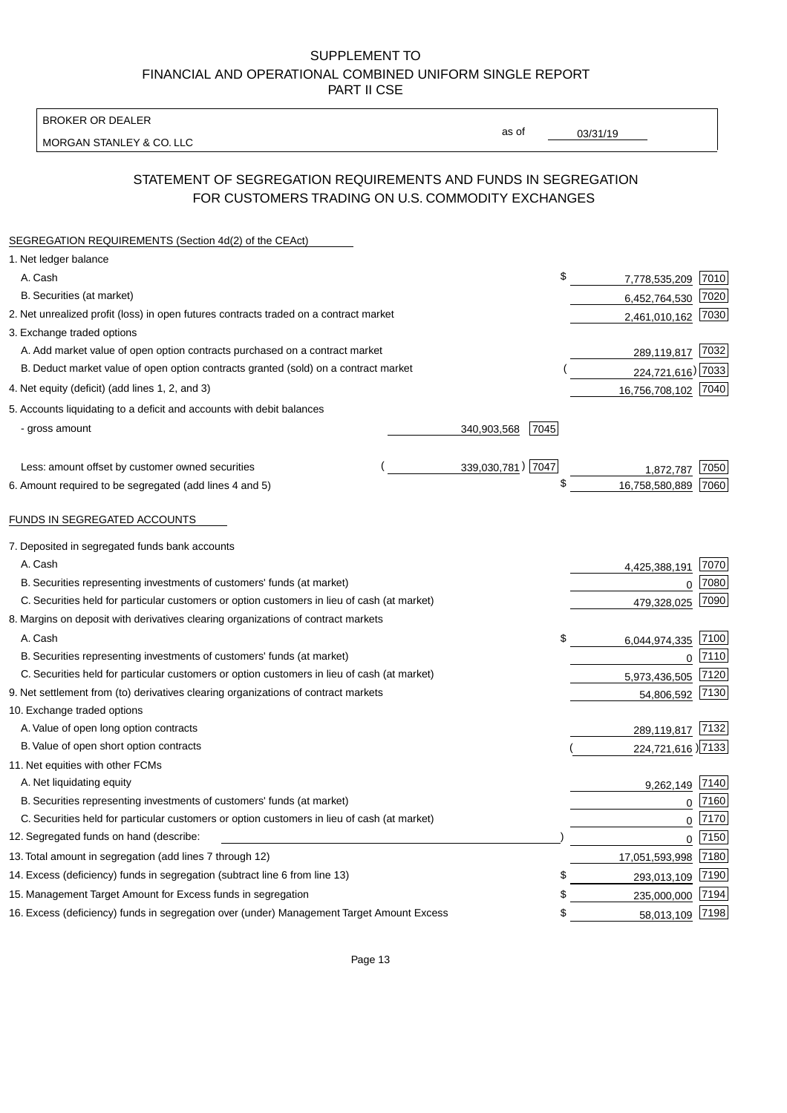BROKER OR DEALER

MORGAN STANLEY & CO. LLC

03/31/19

as of

# STATEMENT OF SEGREGATION REQUIREMENTS AND FUNDS IN SEGREGATION FOR CUSTOMERS TRADING ON U.S. COMMODITY EXCHANGES

| SEGREGATION REQUIREMENTS (Section 4d(2) of the CEAct)                                       |  |                     |                     |      |
|---------------------------------------------------------------------------------------------|--|---------------------|---------------------|------|
| 1. Net ledger balance                                                                       |  |                     |                     |      |
| A. Cash                                                                                     |  | \$                  | 7,778,535,209       | 7010 |
| B. Securities (at market)                                                                   |  |                     | 6,452,764,530       | 7020 |
| 2. Net unrealized profit (loss) in open futures contracts traded on a contract market       |  |                     | 2,461,010,162       | 7030 |
| 3. Exchange traded options                                                                  |  |                     |                     |      |
| A. Add market value of open option contracts purchased on a contract market                 |  |                     | 289,119,817 7032    |      |
| B. Deduct market value of open option contracts granted (sold) on a contract market         |  |                     | 224,721,616) 7033   |      |
| 4. Net equity (deficit) (add lines 1, 2, and 3)                                             |  |                     | 16,756,708,102 7040 |      |
| 5. Accounts liquidating to a deficit and accounts with debit balances                       |  |                     |                     |      |
| - gross amount                                                                              |  | 7045<br>340,903,568 |                     |      |
|                                                                                             |  |                     |                     |      |
| Less: amount offset by customer owned securities                                            |  | 339,030,781) 7047   | 1,872,787           | 7050 |
| 6. Amount required to be segregated (add lines 4 and 5)                                     |  | \$                  | 16,758,580,889      | 7060 |
|                                                                                             |  |                     |                     |      |
| FUNDS IN SEGREGATED ACCOUNTS                                                                |  |                     |                     |      |
| 7. Deposited in segregated funds bank accounts                                              |  |                     |                     |      |
| A. Cash                                                                                     |  |                     | 4,425,388,191       | 7070 |
| B. Securities representing investments of customers' funds (at market)                      |  |                     | 0                   | 7080 |
| C. Securities held for particular customers or option customers in lieu of cash (at market) |  |                     | 479,328,025         | 7090 |
| 8. Margins on deposit with derivatives clearing organizations of contract markets           |  |                     |                     |      |
| A. Cash                                                                                     |  | \$                  | 6,044,974,335       | 7100 |
| B. Securities representing investments of customers' funds (at market)                      |  |                     | $\mathbf{0}$        | 7110 |
| C. Securities held for particular customers or option customers in lieu of cash (at market) |  |                     | 5,973,436,505       | 7120 |
| 9. Net settlement from (to) derivatives clearing organizations of contract markets          |  | 54,806,592          | 7130                |      |
| 10. Exchange traded options                                                                 |  |                     |                     |      |
| A. Value of open long option contracts                                                      |  |                     | 289,119,817         | 7132 |
| B. Value of open short option contracts                                                     |  |                     | 224,721,616 27133   |      |
| 11. Net equities with other FCMs                                                            |  |                     |                     |      |
| A. Net liquidating equity                                                                   |  |                     | 9,262,149           | 7140 |
| B. Securities representing investments of customers' funds (at market)                      |  |                     | $\mathbf 0$         | 7160 |
| C. Securities held for particular customers or option customers in lieu of cash (at market) |  |                     | $\mathbf 0$         | 7170 |
| 12. Segregated funds on hand (describe:                                                     |  |                     | $\mathbf 0$         | 7150 |
| 13. Total amount in segregation (add lines 7 through 12)                                    |  |                     | 17,051,593,998      | 7180 |
| 14. Excess (deficiency) funds in segregation (subtract line 6 from line 13)                 |  | S                   | 293,013,109         | 7190 |
| 15. Management Target Amount for Excess funds in segregation                                |  | \$                  | 235,000,000         | 7194 |
| 16. Excess (deficiency) funds in segregation over (under) Management Target Amount Excess   |  | \$                  | 58,013,109          | 7198 |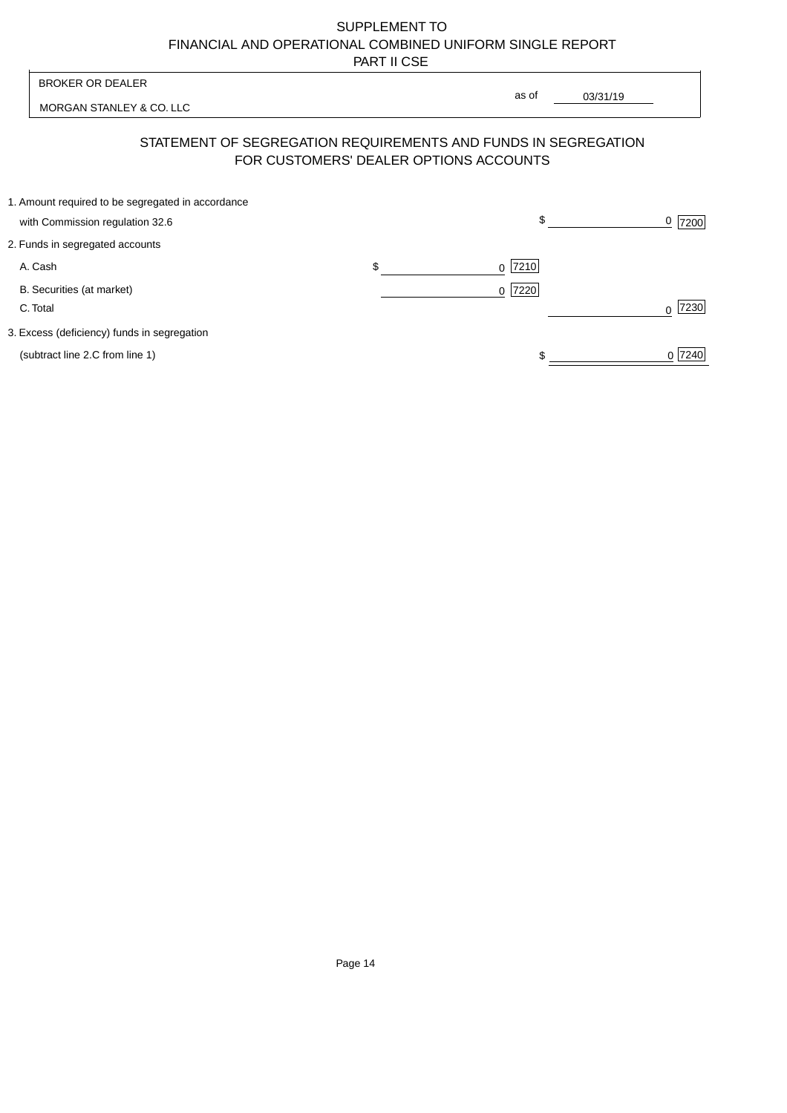| <b>BROKER OR DEALER</b> |                                                                                      | as of |                                        |              |                |
|-------------------------|--------------------------------------------------------------------------------------|-------|----------------------------------------|--------------|----------------|
|                         | MORGAN STANLEY & CO. LLC                                                             |       |                                        | 03/31/19     |                |
|                         | STATEMENT OF SEGREGATION REQUIREMENTS AND FUNDS IN SEGREGATION                       |       | FOR CUSTOMERS' DEALER OPTIONS ACCOUNTS |              |                |
|                         | 1. Amount required to be segregated in accordance<br>with Commission regulation 32.6 |       |                                        | $\mathbb{S}$ | <u>0</u>  7200 |
|                         | 2. Funds in segregated accounts                                                      |       |                                        |              |                |
|                         | A. Cash                                                                              | \$    | 7210<br>$\Omega$                       |              |                |
|                         | B. Securities (at market)<br>C. Total                                                |       | $0$  7220                              |              | 7230           |
|                         | 3. Excess (deficiency) funds in segregation                                          |       |                                        |              |                |
|                         | (subtract line 2.C from line 1)                                                      |       |                                        |              | 0 7240         |
|                         |                                                                                      |       |                                        |              |                |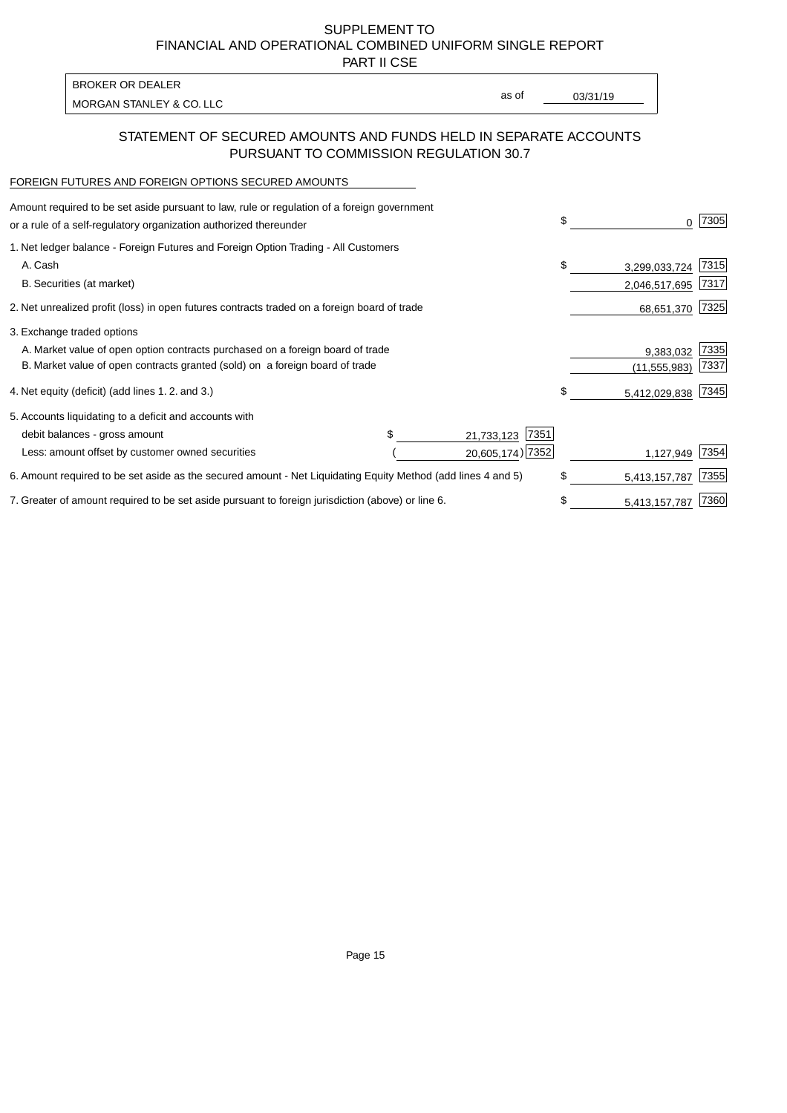PART II CSE

MORGAN STANLEY & CO. LLC and the contract of the contract of the contract of the contract of the contract of the contract of the contract of the contract of the contract of the contract of the contract of the contract of t BROKER OR DEALER

as of

## STATEMENT OF SECURED AMOUNTS AND FUNDS HELD IN SEPARATE ACCOUNTS PURSUANT TO COMMISSION REGULATION 30.7

# FOREIGN FUTURES AND FOREIGN OPTIONS SECURED AMOUNTS

| Amount required to be set aside pursuant to law, rule or regulation of a foreign government<br>or a rule of a self-regulatory organization authorized thereunder | \$ | 0              | 7305 |
|------------------------------------------------------------------------------------------------------------------------------------------------------------------|----|----------------|------|
| 1. Net ledger balance - Foreign Futures and Foreign Option Trading - All Customers                                                                               |    |                |      |
| A. Cash                                                                                                                                                          | \$ | 3,299,033,724  | 7315 |
| B. Securities (at market)                                                                                                                                        |    | 2,046,517,695  | 7317 |
| 2. Net unrealized profit (loss) in open futures contracts traded on a foreign board of trade                                                                     |    | 68,651,370     | 7325 |
| 3. Exchange traded options                                                                                                                                       |    |                |      |
| A. Market value of open option contracts purchased on a foreign board of trade                                                                                   |    | 9,383,032      | 7335 |
| B. Market value of open contracts granted (sold) on a foreign board of trade                                                                                     |    | (11, 555, 983) | 7337 |
| 4. Net equity (deficit) (add lines 1.2. and 3.)                                                                                                                  | \$ | 5,412,029,838  | 7345 |
| 5. Accounts liquidating to a deficit and accounts with                                                                                                           |    |                |      |
| 7351<br>debit balances - gross amount<br>21,733,123                                                                                                              |    |                |      |
| 20,605,174) 7352<br>Less: amount offset by customer owned securities                                                                                             |    | 1,127,949      | 7354 |
| 6. Amount required to be set aside as the secured amount - Net Liquidating Equity Method (add lines 4 and 5)                                                     | \$ | 5,413,157,787  | 7355 |
| 7. Greater of amount required to be set aside pursuant to foreign jurisdiction (above) or line 6.                                                                | S  | 5,413,157,787  | 7360 |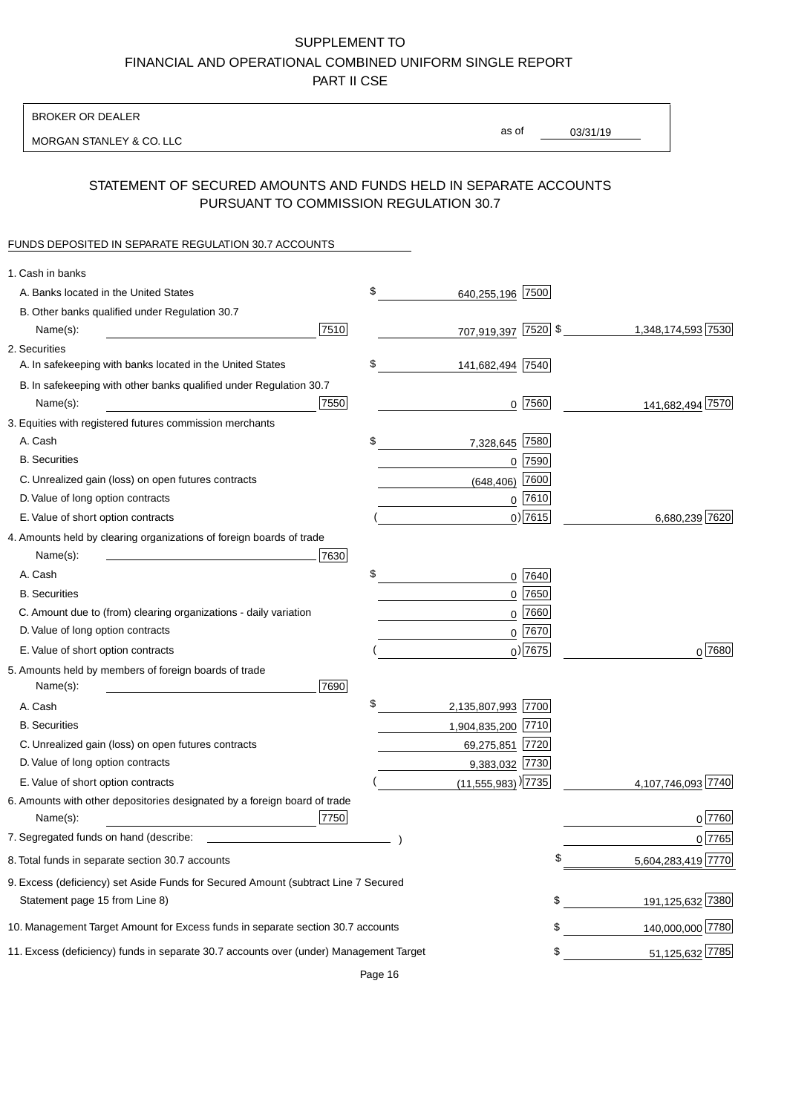BROKER OR DEALER

MORGAN STANLEY & CO. LLC

03/31/19 as of

## STATEMENT OF SECURED AMOUNTS AND FUNDS HELD IN SEPARATE ACCOUNTS PURSUANT TO COMMISSION REGULATION 30.7

#### FUNDS DEPOSITED IN SEPARATE REGULATION 30.7 ACCOUNTS

| 1. Cash in banks                                                                                                     |      |                                    |             |                    |
|----------------------------------------------------------------------------------------------------------------------|------|------------------------------------|-------------|--------------------|
| A. Banks located in the United States                                                                                |      | \$<br>640,255,196 7500             |             |                    |
| B. Other banks qualified under Regulation 30.7                                                                       |      |                                    |             |                    |
| Name(s):                                                                                                             | 7510 | 707,919,397 7520 \$                |             | 1,348,174,593 7530 |
| 2. Securities                                                                                                        |      |                                    |             |                    |
| A. In safekeeping with banks located in the United States                                                            |      | \$<br>141,682,494 7540             |             |                    |
| B. In safekeeping with other banks qualified under Regulation 30.7                                                   |      |                                    |             |                    |
| Name(s):                                                                                                             | 7550 |                                    | $0$ 7560    | 141,682,494 7570   |
| 3. Equities with registered futures commission merchants                                                             |      |                                    |             |                    |
| A. Cash                                                                                                              |      | \$<br>7,328,645                    | 7580        |                    |
| <b>B.</b> Securities                                                                                                 |      |                                    | $0$ 7590    |                    |
| C. Unrealized gain (loss) on open futures contracts                                                                  |      | (648, 406)                         | 7600        |                    |
| D. Value of long option contracts                                                                                    |      |                                    | $0$ 7610    |                    |
| E. Value of short option contracts                                                                                   |      |                                    | $0)$ 7615   | 6,680,239 7620     |
| 4. Amounts held by clearing organizations of foreign boards of trade                                                 |      |                                    |             |                    |
| Name(s):                                                                                                             | 7630 |                                    |             |                    |
| A. Cash                                                                                                              |      | \$                                 | $0$ 7640    |                    |
| <b>B.</b> Securities                                                                                                 |      |                                    | $0$ 7650    |                    |
| C. Amount due to (from) clearing organizations - daily variation                                                     |      | 0                                  | 7660        |                    |
| D. Value of long option contracts                                                                                    |      |                                    | 0 7670      |                    |
| E. Value of short option contracts                                                                                   |      |                                    | $_0$ ) 7675 | 0 7680             |
| 5. Amounts held by members of foreign boards of trade<br>Name(s):                                                    | 7690 |                                    |             |                    |
| A. Cash                                                                                                              |      | \$<br>2,135,807,993 7700           |             |                    |
| <b>B.</b> Securities                                                                                                 |      | 1,904,835,200 7710                 |             |                    |
| C. Unrealized gain (loss) on open futures contracts                                                                  |      | 69,275,851 7720                    |             |                    |
| D. Value of long option contracts                                                                                    |      | 9,383,032 7730                     |             |                    |
| E. Value of short option contracts                                                                                   |      | $(11,555,983)$ <sup>)</sup> $7735$ |             | 4,107,746,093 7740 |
| 6. Amounts with other depositories designated by a foreign board of trade<br>Name(s):                                | 7750 |                                    |             | 0 7760             |
| 7. Segregated funds on hand (describe:                                                                               |      |                                    |             | 0 7765             |
| 8. Total funds in separate section 30.7 accounts                                                                     |      |                                    | \$          | 5,604,283,419 7770 |
| 9. Excess (deficiency) set Aside Funds for Secured Amount (subtract Line 7 Secured<br>Statement page 15 from Line 8) |      |                                    | \$          | 191,125,632 7380   |
|                                                                                                                      |      |                                    |             |                    |
| 10. Management Target Amount for Excess funds in separate section 30.7 accounts                                      |      |                                    | \$          | 140,000,000 7780   |
| 11. Excess (deficiency) funds in separate 30.7 accounts over (under) Management Target                               |      |                                    | \$          | 51,125,632 7785    |

Page 16